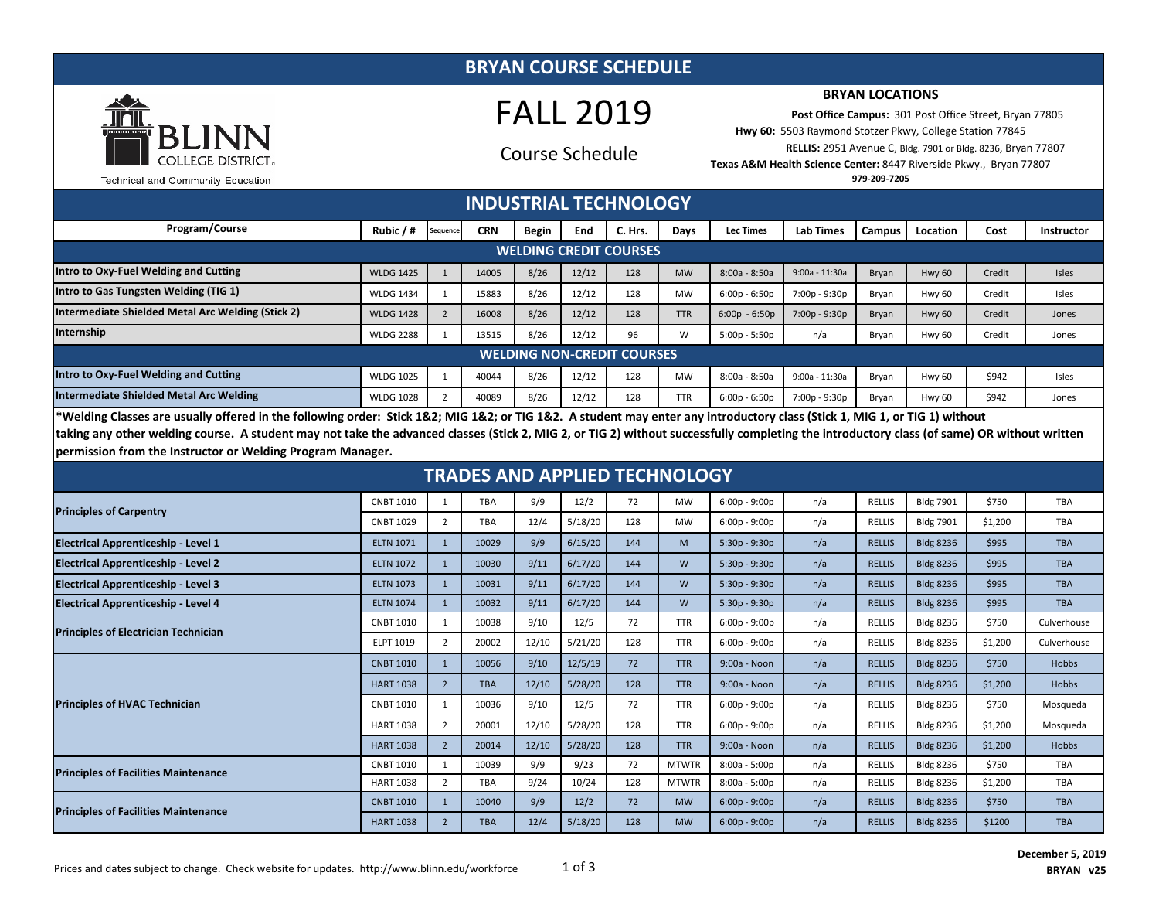#### **BRYAN COURSE SCHEDULE**



# FALL 2019

## Course Schedule

#### **BRYAN LOCATIONS**

 **Post Office Campus:** 301 Post Office Street, Bryan 77805 **Hwy 60:** 5503 Raymond Stotzer Pkwy, College Station 77845  **RELLIS:** 2951 Avenue C, Bldg. 7901 or Bldg. 8236, Bryan 77807 **Texas A&M Health Science Center:** 8447 Riverside Pkwy., Bryan 77807

Technical and Community Education

**979-209-7205**

| <b>INDUSTRIAL TECHNOLOGY</b>                                                                                                                                                        |                  |          |            |              |       |         |            |                  |                  |               |               |        |                   |
|-------------------------------------------------------------------------------------------------------------------------------------------------------------------------------------|------------------|----------|------------|--------------|-------|---------|------------|------------------|------------------|---------------|---------------|--------|-------------------|
| <b>Program/Course</b>                                                                                                                                                               | Rubic / #        | Sequence | <b>CRN</b> | <b>Begin</b> | End   | C. Hrs. | Days       | <b>Lec Times</b> | <b>Lab Times</b> | <b>Campus</b> | Location      | Cost   | <b>Instructor</b> |
| <b>WELDING CREDIT COURSES</b>                                                                                                                                                       |                  |          |            |              |       |         |            |                  |                  |               |               |        |                   |
| Intro to Oxy-Fuel Welding and Cutting                                                                                                                                               | <b>WLDG 1425</b> |          | 14005      | 8/26         | 12/12 | 128     | <b>MW</b>  | 8:00a - 8:50a    | $9:00a - 11:30a$ | Bryan         | <b>Hwy 60</b> | Credit | <b>Isles</b>      |
| Intro to Gas Tungsten Welding (TIG 1)                                                                                                                                               | <b>WLDG 1434</b> |          | 15883      | 8/26         | 12/12 | 128     | <b>MW</b>  | $6:00p - 6:50p$  | 7:00p - 9:30p    | Bryan         | Hwy 60        | Credit | Isles             |
| Intermediate Shielded Metal Arc Welding (Stick 2)                                                                                                                                   | <b>WLDG 1428</b> |          | 16008      | 8/26         | 12/12 | 128     | <b>TTR</b> | $6:00p - 6:50p$  | 7:00p - 9:30p    | Bryan         | <b>Hwy 60</b> | Credit | Jones             |
| Internship                                                                                                                                                                          | <b>WLDG 2288</b> |          | 13515      | 8/26         | 12/12 | 96      | W          | $5:00p - 5:50p$  | n/a              | Bryan         | Hwy 60        | Credit | Jones             |
| <b>WELDING NON-CREDIT COURSES</b>                                                                                                                                                   |                  |          |            |              |       |         |            |                  |                  |               |               |        |                   |
| Intro to Oxy-Fuel Welding and Cutting                                                                                                                                               | <b>WLDG 1025</b> |          | 40044      | 8/26         | 12/12 | 128     | <b>MW</b>  | 8:00a - 8:50a    | 9:00a - 11:30a   | Brvan         | Hwy 60        | \$942  | Isles             |
| Intermediate Shielded Metal Arc Welding                                                                                                                                             | <b>WLDG 1028</b> |          | 40089      | 8/26         | 12/12 | 128     | <b>TTR</b> | $6:00p - 6:50p$  | 7:00p - 9:30p    | Bryan         | Hwy 60        | \$942  | Jones             |
| Statefolium Chasses and countly offered in the following suday. Ctief 403, 8410 403, as TIO 403, A student mean enter any integral color class (Ctief 4, 8410 4, as TIO 4), without |                  |          |            |              |       |         |            |                  |                  |               |               |        |                   |

**\*Welding Classes are usually offered in the following order: Stick 1&2; MIG 1&2; or TIG 1&2. A student may enter any introductory class (Stick 1, MIG 1, or TIG 1) without taking any other welding course. A student may not take the advanced classes (Stick 2, MIG 2, or TIG 2) without successfully completing the introductory class (of same) OR without written permission from the Instructor or Welding Program Manager.**

### **TRADES AND APPLIED TECHNOLOGY**

| <b>Principles of Carpentry</b>              | <b>CNBT 1010</b> |                | <b>TBA</b> | 9/9   | 12/2    | 72  | <b>MW</b>    | $6:00p - 9:00p$ | n/a | <b>RELLIS</b> | <b>Bldg 7901</b> | \$750   | <b>TBA</b>   |
|---------------------------------------------|------------------|----------------|------------|-------|---------|-----|--------------|-----------------|-----|---------------|------------------|---------|--------------|
|                                             | <b>CNBT 1029</b> | $\overline{2}$ | <b>TBA</b> | 12/4  | 5/18/20 | 128 | <b>MW</b>    | $6:00p - 9:00p$ | n/a | <b>RELLIS</b> | <b>Bldg 7901</b> | \$1,200 | <b>TBA</b>   |
| <b>Electrical Apprenticeship - Level 1</b>  | <b>ELTN 1071</b> |                | 10029      | 9/9   | 6/15/20 | 144 | M            | $5:30p - 9:30p$ | n/a | <b>RELLIS</b> | <b>Bldg 8236</b> | \$995   | <b>TBA</b>   |
| <b>Electrical Apprenticeship - Level 2</b>  | <b>ELTN 1072</b> |                | 10030      | 9/11  | 6/17/20 | 144 | W            | $5:30p - 9:30p$ | n/a | <b>RELLIS</b> | <b>Bldg 8236</b> | \$995   | <b>TBA</b>   |
| <b>Electrical Apprenticeship - Level 3</b>  | <b>ELTN 1073</b> | 1              | 10031      | 9/11  | 6/17/20 | 144 | W            | $5:30p - 9:30p$ | n/a | <b>RELLIS</b> | <b>Bldg 8236</b> | \$995   | <b>TBA</b>   |
| <b>Electrical Apprenticeship - Level 4</b>  | <b>ELTN 1074</b> |                | 10032      | 9/11  | 6/17/20 | 144 | W            | $5:30p - 9:30p$ | n/a | <b>RELLIS</b> | <b>Bldg 8236</b> | \$995   | <b>TBA</b>   |
| <b>Principles of Electrician Technician</b> | <b>CNBT 1010</b> |                | 10038      | 9/10  | 12/5    | 72  | <b>TTR</b>   | $6:00p - 9:00p$ | n/a | <b>RELLIS</b> | <b>Bldg 8236</b> | \$750   | Culverhouse  |
|                                             | <b>ELPT 1019</b> | 2              | 20002      | 12/10 | 5/21/20 | 128 | <b>TTR</b>   | $6:00p - 9:00p$ | n/a | <b>RELLIS</b> | <b>Bldg 8236</b> | \$1,200 | Culverhouse  |
| <b>Principles of HVAC Technician</b>        | <b>CNBT 1010</b> | $\mathbf{1}$   | 10056      | 9/10  | 12/5/19 | 72  | <b>TTR</b>   | $9:00a - Noon$  | n/a | <b>RELLIS</b> | <b>Bldg 8236</b> | \$750   | <b>Hobbs</b> |
|                                             | <b>HART 1038</b> | $\overline{2}$ | <b>TBA</b> | 12/10 | 5/28/20 | 128 | <b>TTR</b>   | 9:00a - Noon    | n/a | <b>RELLIS</b> | <b>Bldg 8236</b> | \$1,200 | <b>Hobbs</b> |
|                                             | <b>CNBT 1010</b> |                | 10036      | 9/10  | 12/5    | 72  | <b>TTR</b>   | $6:00p - 9:00p$ | n/a | <b>RELLIS</b> | <b>Bldg 8236</b> | \$750   | Mosqueda     |
|                                             | <b>HART 1038</b> | 2              | 20001      | 12/10 | 5/28/20 | 128 | <b>TTR</b>   | $6:00p - 9:00p$ | n/a | <b>RELLIS</b> | <b>Bldg 8236</b> | \$1,200 | Mosqueda     |
|                                             | <b>HART 1038</b> | $\overline{2}$ | 20014      | 12/10 | 5/28/20 | 128 | <b>TTR</b>   | 9:00a - Noon    | n/a | <b>RELLIS</b> | <b>Bldg 8236</b> | \$1,200 | Hobbs        |
| <b>Principles of Facilities Maintenance</b> | <b>CNBT 1010</b> |                | 10039      | 9/9   | 9/23    | 72  | <b>MTWTR</b> | $8:00a - 5:00p$ | n/a | <b>RELLIS</b> | <b>Bldg 8236</b> | \$750   | <b>TBA</b>   |
|                                             | <b>HART 1038</b> | 2              | <b>TBA</b> | 9/24  | 10/24   | 128 | <b>MTWTR</b> | $8:00a - 5:00p$ | n/a | <b>RELLIS</b> | <b>Bldg 8236</b> | \$1,200 | <b>TBA</b>   |
| <b>Principles of Facilities Maintenance</b> | <b>CNBT 1010</b> |                | 10040      | 9/9   | 12/2    | 72  | <b>MW</b>    | $6:00p - 9:00p$ | n/a | <b>RELLIS</b> | <b>Bldg 8236</b> | \$750   | <b>TBA</b>   |
|                                             | <b>HART 1038</b> | $\overline{2}$ | <b>TBA</b> | 12/4  | 5/18/20 | 128 | <b>MW</b>    | $6:00p - 9:00p$ | n/a | <b>RELLIS</b> | <b>Bldg 8236</b> | \$1200  | <b>TBA</b>   |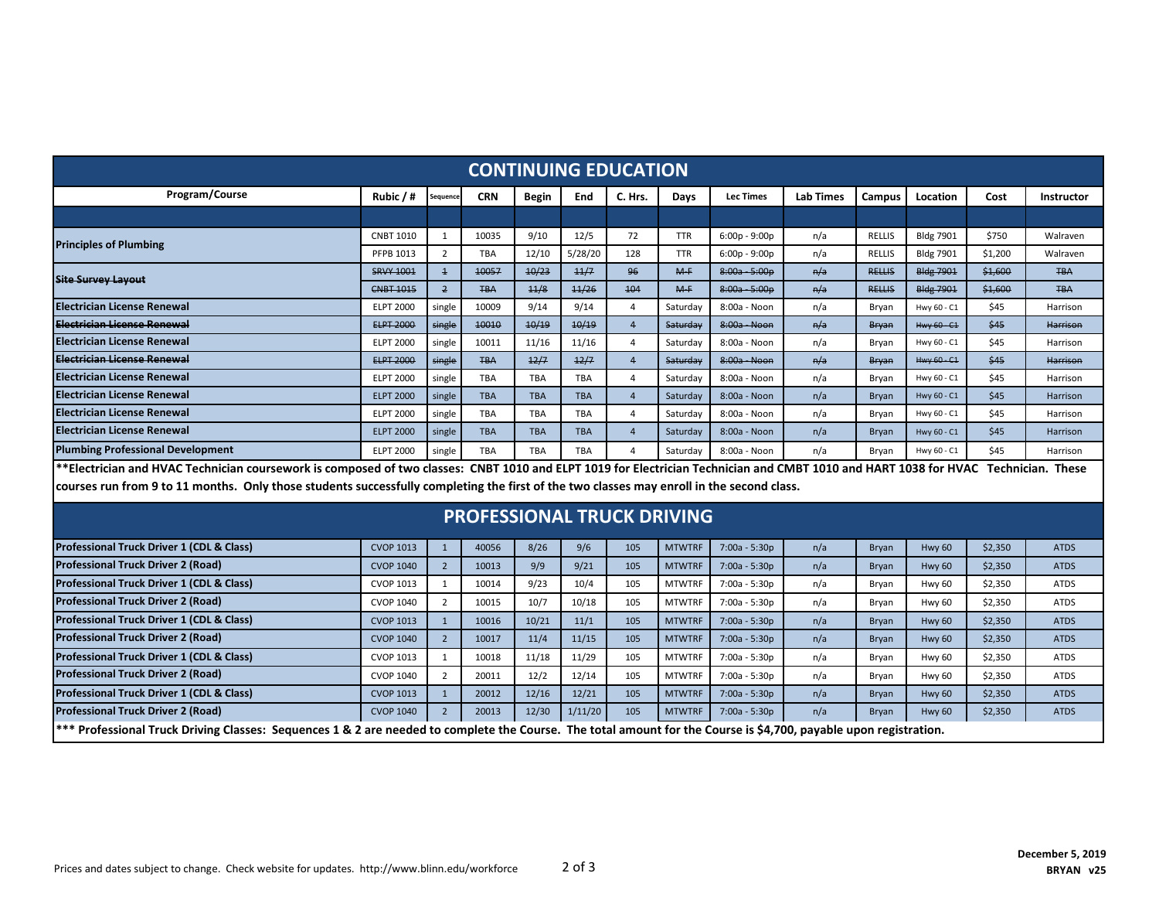| <b>CONTINUING EDUCATION</b>                                                                                                                                                        |                  |                |            |              |            |                         |               |                  |                  |               |                  |         |                   |
|------------------------------------------------------------------------------------------------------------------------------------------------------------------------------------|------------------|----------------|------------|--------------|------------|-------------------------|---------------|------------------|------------------|---------------|------------------|---------|-------------------|
| Program/Course                                                                                                                                                                     | Rubic $/$ #      | Sequence       | <b>CRN</b> | <b>Begin</b> | End        | C. Hrs.                 | Days          | <b>Lec Times</b> | <b>Lab Times</b> | Campus        | Location         | Cost    | <b>Instructor</b> |
|                                                                                                                                                                                    |                  |                |            |              |            |                         |               |                  |                  |               |                  |         |                   |
| <b>Principles of Plumbing</b>                                                                                                                                                      | <b>CNBT 1010</b> | $\mathbf{1}$   | 10035      | 9/10         | 12/5       | 72                      | <b>TTR</b>    | $6:00p - 9:00p$  | n/a              | <b>RELLIS</b> | <b>Bldg 7901</b> | \$750   | Walraven          |
|                                                                                                                                                                                    | PFPB 1013        | $\overline{2}$ | TBA        | 12/10        | 5/28/20    | 128                     | <b>TTR</b>    | $6:00p - 9:00p$  | n/a              | RELLIS        | <b>Bldg 7901</b> | \$1,200 | Walraven          |
| <b>Site Survey Layout</b>                                                                                                                                                          | <b>SRVY 1001</b> | $\overline{1}$ | 10057      | 10/23        | 11/7       | 96                      | $M-F$         | 8:00a - 5:00p    | n/a              | <b>RELLIS</b> | <b>Bldg 7901</b> | \$1,600 | <b>TBA</b>        |
|                                                                                                                                                                                    | <b>CNBT 1015</b> | $\overline{2}$ | <b>TBA</b> | 11/8         | 11/26      | 104                     | $M-F$         | $8:00a - 5:00b$  | n/a              | <b>RELLIS</b> | <b>Bldg 7901</b> | \$1,600 | <b>TBA</b>        |
| <b>Electrician License Renewal</b>                                                                                                                                                 | <b>ELPT 2000</b> | single         | 10009      | 9/14         | 9/14       | 4                       | Saturday      | 8:00a - Noon     | n/a              | Bryan         | Hwy 60 - C1      | \$45    | Harrison          |
| Electrician License Renewal                                                                                                                                                        | <b>ELPT 2000</b> | single         | 10010      | 10/19        | 10/19      | $\overline{4}$          | Saturday      | 8:00a Noon       | n/a              | Bryan         | Hwy 60 - C1      | \$45    | Harrison          |
| Electrician License Renewal                                                                                                                                                        | <b>ELPT 2000</b> | single         | 10011      | 11/16        | 11/16      | $\overline{4}$          | Saturday      | 8:00a - Noon     | n/a              | Bryan         | Hwy 60 - C1      | \$45    | Harrison          |
| Electrician License Renewal                                                                                                                                                        | <b>ELPT 2000</b> | single         | <b>TBA</b> | 12/7         | 12/7       | $\overline{4}$          | Saturday      | 8:00a - Noon     | n/a              | Bryan         | Hwy $60 - C1$    | \$45    | <b>Harrison</b>   |
| <b>Electrician License Renewal</b>                                                                                                                                                 | <b>ELPT 2000</b> | single         | <b>TBA</b> | <b>TBA</b>   | <b>TBA</b> | 4                       | Saturday      | 8:00a - Noon     | n/a              | Bryan         | Hwy 60 - C1      | \$45    | Harrison          |
| Electrician License Renewal                                                                                                                                                        | <b>ELPT 2000</b> | single         | <b>TBA</b> | <b>TBA</b>   | <b>TBA</b> | $\overline{4}$          | Saturday      | 8:00a - Noon     | n/a              | Bryan         | Hwy 60 - C1      | \$45    | Harrison          |
| Electrician License Renewal                                                                                                                                                        | <b>ELPT 2000</b> | single         | <b>TBA</b> | <b>TBA</b>   | <b>TBA</b> | 4                       | Saturday      | 8:00a - Noon     | n/a              | Bryan         | Hwy 60 - C1      | \$45    | Harrison          |
| <b>Electrician License Renewal</b>                                                                                                                                                 | <b>ELPT 2000</b> | single         | <b>TBA</b> | <b>TBA</b>   | <b>TBA</b> | $\overline{4}$          | Saturday      | 8:00a - Noon     | n/a              | <b>Bryan</b>  | Hwy 60 - C1      | \$45    | Harrison          |
| <b>Plumbing Professional Development</b>                                                                                                                                           | <b>ELPT 2000</b> | single         | <b>TBA</b> | <b>TBA</b>   | <b>TBA</b> | $\overline{\mathbf{A}}$ | Saturdav      | 8:00a - Noon     | n/a              | Bryan         | Hwy 60 - C1      | \$45    | Harrison          |
| **Electrician and HVAC Technician coursework is composed of two classes: CNBT 1010 and ELPT 1019 for Electrician Technician and CMBT 1010 and HART 1038 for HVAC Technician. These |                  |                |            |              |            |                         |               |                  |                  |               |                  |         |                   |
| courses run from 9 to 11 months. Only those students successfully completing the first of the two classes may enroll in the second class.                                          |                  |                |            |              |            |                         |               |                  |                  |               |                  |         |                   |
| <b>PROFESSIONAL TRUCK DRIVING</b>                                                                                                                                                  |                  |                |            |              |            |                         |               |                  |                  |               |                  |         |                   |
| Professional Truck Driver 1 (CDL & Class)                                                                                                                                          | <b>CVOP 1013</b> | $\mathbf{1}$   | 40056      | 8/26         | 9/6        | 105                     | <b>MTWTRF</b> | $7:00a - 5:30p$  | n/a              | <b>Bryan</b>  | <b>Hwy 60</b>    | \$2,350 | <b>ATDS</b>       |
| <b>Professional Truck Driver 2 (Road)</b>                                                                                                                                          | <b>CVOP 1040</b> | $2^{\circ}$    | 10013      | 9/9          | 9/21       | 105                     | <b>MTWTRF</b> | 7:00a - 5:30p    | n/a              | <b>Bryan</b>  | <b>Hwy 60</b>    | \$2,350 | <b>ATDS</b>       |
| Professional Truck Driver 1 (CDL & Class)                                                                                                                                          | <b>CVOP 1013</b> | 1              | 10014      | 9/23         | 10/4       | 105                     | <b>MTWTRF</b> | 7:00a - 5:30p    | n/a              | Bryan         | <b>Hwy 60</b>    | \$2,350 | <b>ATDS</b>       |
| Professional Truck Driver 2 (Road)                                                                                                                                                 | <b>CVOP 1040</b> | $\overline{2}$ | 10015      | 10/7         | 10/18      | 105                     | <b>MTWTRF</b> | 7:00a - 5:30p    | n/a              | Bryan         | <b>Hwy 60</b>    | \$2,350 | <b>ATDS</b>       |
| Professional Truck Driver 1 (CDL & Class)                                                                                                                                          | <b>CVOP 1013</b> | $\mathbf{1}$   | 10016      | 10/21        | 11/1       | 105                     | <b>MTWTRF</b> | 7:00a - 5:30p    | n/a              | <b>Bryan</b>  | <b>Hwy 60</b>    | \$2,350 | <b>ATDS</b>       |
| <b>Professional Truck Driver 2 (Road)</b>                                                                                                                                          | <b>CVOP 1040</b> | $2^{\circ}$    | 10017      | 11/4         | 11/15      | 105                     | <b>MTWTRF</b> | $7:00a - 5:30p$  | n/a              | <b>Bryan</b>  | <b>Hwy 60</b>    | \$2,350 | <b>ATDS</b>       |
| Professional Truck Driver 1 (CDL & Class)                                                                                                                                          | <b>CVOP 1013</b> | $\mathbf{1}$   | 10018      | 11/18        | 11/29      | 105                     | <b>MTWTRF</b> | 7:00a - 5:30p    | n/a              | Bryan         | <b>Hwy 60</b>    | \$2,350 | <b>ATDS</b>       |
| <b>Professional Truck Driver 2 (Road)</b>                                                                                                                                          | <b>CVOP 1040</b> | $\overline{2}$ | 20011      | 12/2         | 12/14      | 105                     | <b>MTWTRF</b> | 7:00a - 5:30p    | n/a              | Bryan         | <b>Hwy 60</b>    | \$2,350 | <b>ATDS</b>       |
| Professional Truck Driver 1 (CDL & Class)                                                                                                                                          | <b>CVOP 1013</b> | $\mathbf{1}$   | 20012      | 12/16        | 12/21      | 105                     | <b>MTWTRF</b> | $7:00a - 5:30p$  | n/a              | <b>Bryan</b>  | <b>Hwy 60</b>    | \$2,350 | <b>ATDS</b>       |
| <b>Professional Truck Driver 2 (Road)</b>                                                                                                                                          | <b>CVOP 1040</b> | $\overline{2}$ | 20013      | 12/30        | 1/11/20    | 105                     | <b>MTWTRF</b> | $7:00a - 5:30p$  | n/a              | Bryan         | <b>Hwy 60</b>    | \$2,350 | <b>ATDS</b>       |
| *** Professional Truck Driving Classes: Sequences 1 & 2 are needed to complete the Course. The total amount for the Course is \$4,700, payable upon registration.                  |                  |                |            |              |            |                         |               |                  |                  |               |                  |         |                   |